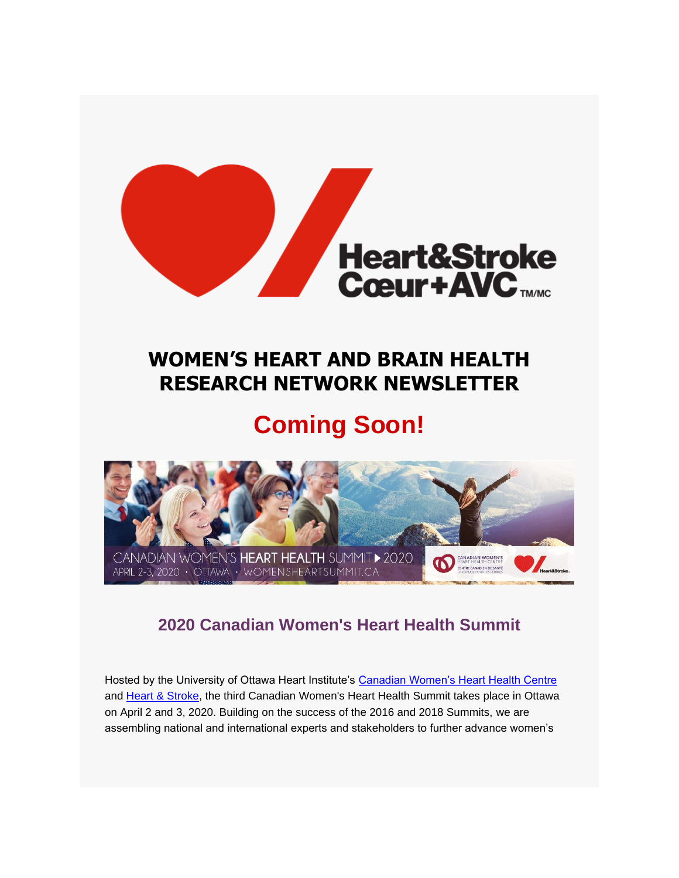

## **WOMEN'S HEART AND BRAIN HEALTH RESEARCH NETWORK NEWSLETTER**

## **Coming Soon!**



### **2020 Canadian Women's Heart Health Summit**

Hosted by the University of Ottawa Heart Institute's [Canadian Women's Heart Health Centre](https://hsf.us18.list-manage.com/track/click?u=b3ce0e8fb303cb40c66dc1a29&id=c626e3a780&e=a106005906) and [Heart & Stroke,](https://hsf.us18.list-manage.com/track/click?u=b3ce0e8fb303cb40c66dc1a29&id=cb671050f5&e=a106005906) the third Canadian Women's Heart Health Summit takes place in Ottawa on April 2 and 3, 2020. Building on the success of the 2016 and 2018 Summits, we are assembling national and international experts and stakeholders to further advance women's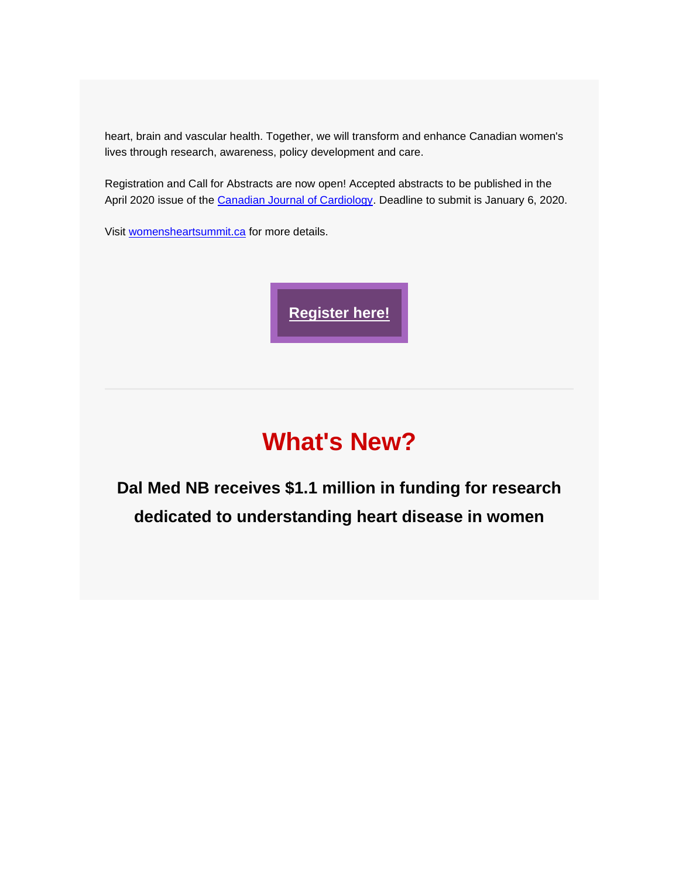heart, brain and vascular health. Together, we will transform and enhance Canadian women's lives through research, awareness, policy development and care.

Registration and Call for Abstracts are now open! Accepted abstracts to be published in the April 2020 issue of the [Canadian Journal of Cardiology.](https://hsf.us18.list-manage.com/track/click?u=b3ce0e8fb303cb40c66dc1a29&id=17ddbf1a25&e=a106005906) Deadline to submit is January 6, 2020.

Visit [womensheartsummit.ca](https://hsf.us18.list-manage.com/track/click?u=b3ce0e8fb303cb40c66dc1a29&id=2d73ee99db&e=a106005906) for more details.

**[Register here!](https://hsf.us18.list-manage.com/track/click?u=b3ce0e8fb303cb40c66dc1a29&id=ecefb01711&e=a106005906)**

# **What's New?**

**Dal Med NB receives \$1.1 million in funding for research dedicated to understanding heart disease in women**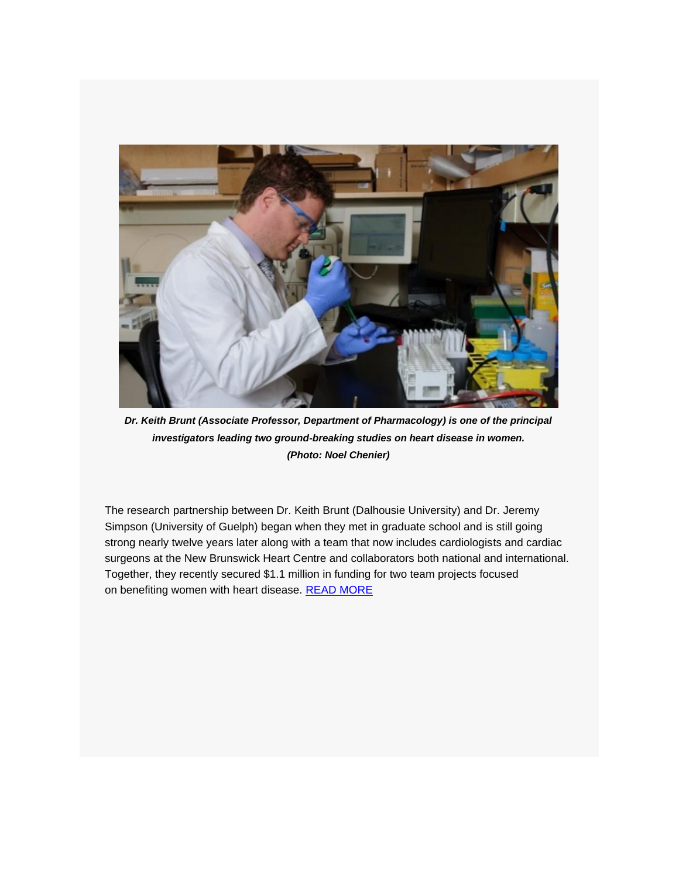

*Dr. Keith Brunt (Associate Professor, Department of Pharmacology) is one of the principal investigators leading two ground-breaking studies on heart disease in women. (Photo: Noel Chenier)*

The research partnership between Dr. Keith Brunt (Dalhousie University) and Dr. Jeremy Simpson (University of Guelph) began when they met in graduate school and is still going strong nearly twelve years later along with a team that now includes cardiologists and cardiac surgeons at the New Brunswick Heart Centre and collaborators both national and international. Together, they recently secured \$1.1 million in funding for two team projects focused on benefiting women with heart disease. [READ MORE](https://hsf.us18.list-manage.com/track/click?u=b3ce0e8fb303cb40c66dc1a29&id=0281cae019&e=a106005906)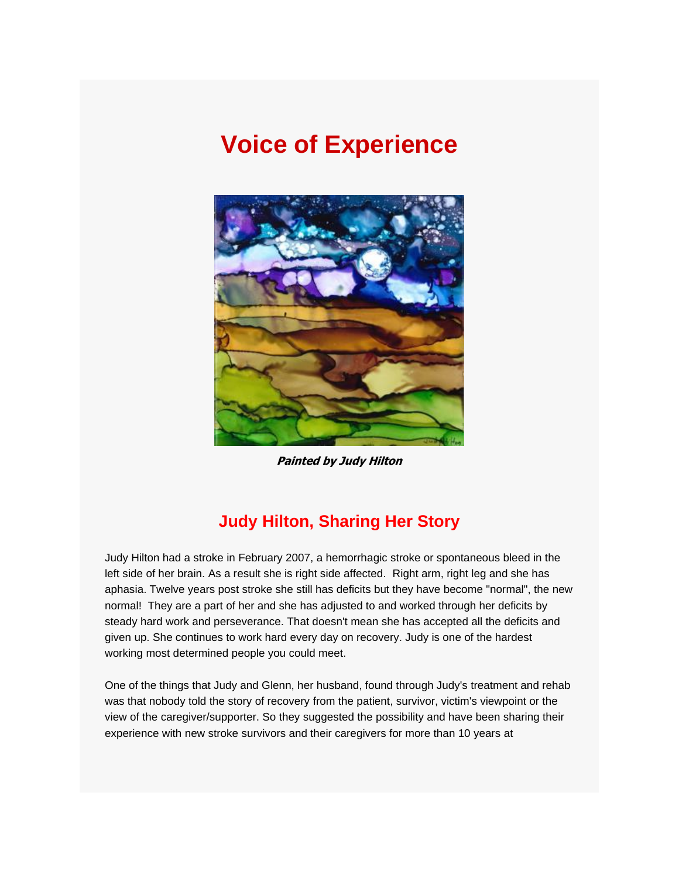## **Voice of Experience**



**Painted by Judy Hilton**

### **Judy Hilton, Sharing Her Story**

Judy Hilton had a stroke in February 2007, a hemorrhagic stroke or spontaneous bleed in the left side of her brain. As a result she is right side affected. Right arm, right leg and she has aphasia. Twelve years post stroke she still has deficits but they have become "normal", the new normal! They are a part of her and she has adjusted to and worked through her deficits by steady hard work and perseverance. That doesn't mean she has accepted all the deficits and given up. She continues to work hard every day on recovery. Judy is one of the hardest working most determined people you could meet.

One of the things that Judy and Glenn, her husband, found through Judy's treatment and rehab was that nobody told the story of recovery from the patient, survivor, victim's viewpoint or the view of the caregiver/supporter. So they suggested the possibility and have been sharing their experience with new stroke survivors and their caregivers for more than 10 years at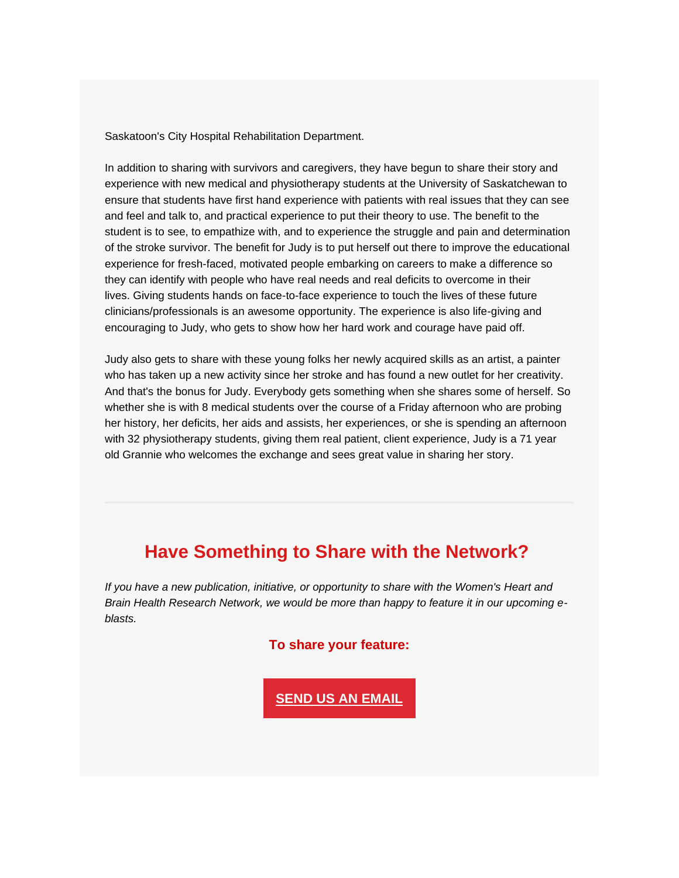Saskatoon's City Hospital Rehabilitation Department.

In addition to sharing with survivors and caregivers, they have begun to share their story and experience with new medical and physiotherapy students at the University of Saskatchewan to ensure that students have first hand experience with patients with real issues that they can see and feel and talk to, and practical experience to put their theory to use. The benefit to the student is to see, to empathize with, and to experience the struggle and pain and determination of the stroke survivor. The benefit for Judy is to put herself out there to improve the educational experience for fresh-faced, motivated people embarking on careers to make a difference so they can identify with people who have real needs and real deficits to overcome in their lives. Giving students hands on face-to-face experience to touch the lives of these future clinicians/professionals is an awesome opportunity. The experience is also life-giving and encouraging to Judy, who gets to show how her hard work and courage have paid off.

Judy also gets to share with these young folks her newly acquired skills as an artist, a painter who has taken up a new activity since her stroke and has found a new outlet for her creativity. And that's the bonus for Judy. Everybody gets something when she shares some of herself. So whether she is with 8 medical students over the course of a Friday afternoon who are probing her history, her deficits, her aids and assists, her experiences, or she is spending an afternoon with 32 physiotherapy students, giving them real patient, client experience, Judy is a 71 year old Grannie who welcomes the exchange and sees great value in sharing her story.

### **Have Something to Share with the Network?**

*If you have a new publication, initiative, or opportunity to share with the Women's Heart and Brain Health Research Network, we would be more than happy to feature it in our upcoming eblasts.*

#### **To share your feature:**

**[SEND US AN EMAIL](mailto:ON_Women-Femmes@heartandstroke.ca)**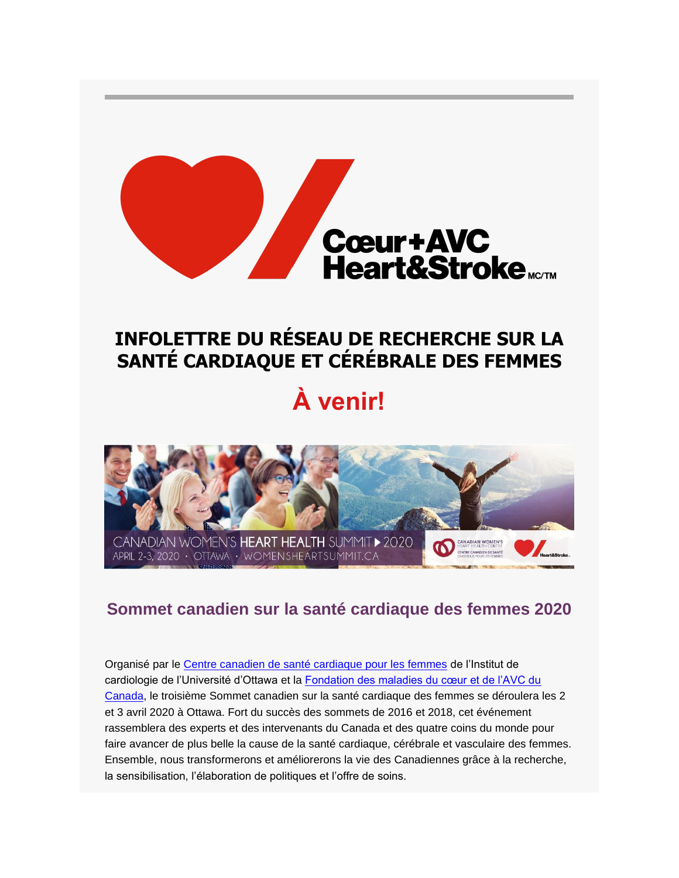

## **INFOLETTRE DU RÉSEAU DE RECHERCHE SUR LA SANTÉ CARDIAQUE ET CÉRÉBRALE DES FEMMES**

# **À venir!**



### **Sommet canadien sur la santé cardiaque des femmes 2020**

Organisé par le [Centre canadien de santé cardiaque pour les femmes](https://hsf.us18.list-manage.com/track/click?u=b3ce0e8fb303cb40c66dc1a29&id=5a006a8337&e=a106005906) de l'Institut de cardiologie de l'Université d'Ottawa et la Fondation des maladies du cœur et de l'AVC du [Canada,](https://hsf.us18.list-manage.com/track/click?u=b3ce0e8fb303cb40c66dc1a29&id=7f5b09466d&e=a106005906) le troisième Sommet canadien sur la santé cardiaque des femmes se déroulera les 2 et 3 avril 2020 à Ottawa. Fort du succès des sommets de 2016 et 2018, cet événement rassemblera des experts et des intervenants du Canada et des quatre coins du monde pour faire avancer de plus belle la cause de la santé cardiaque, cérébrale et vasculaire des femmes. Ensemble, nous transformerons et améliorerons la vie des Canadiennes grâce à la recherche, la sensibilisation, l'élaboration de politiques et l'offre de soins.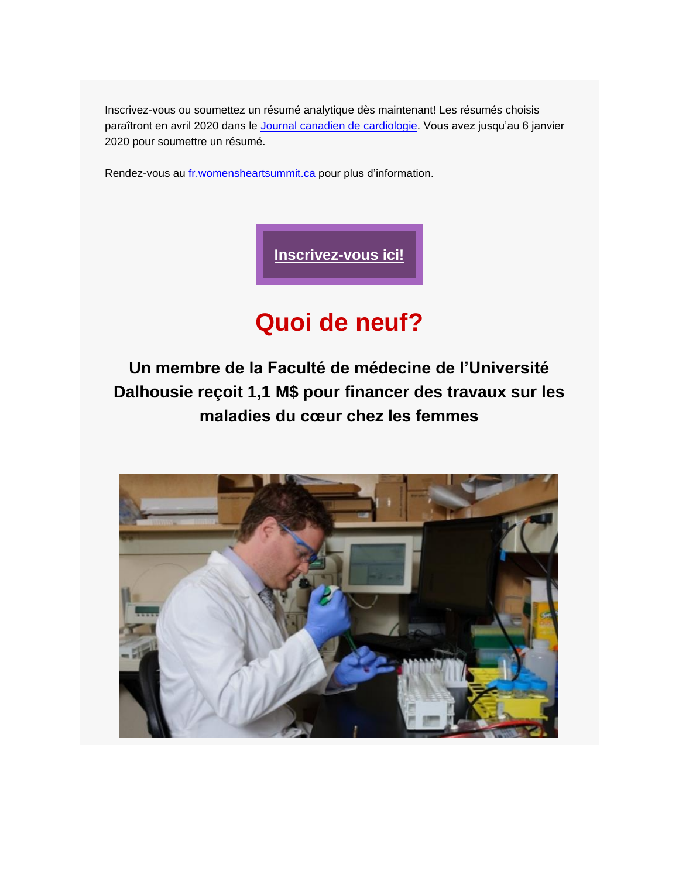Inscrivez-vous ou soumettez un résumé analytique dès maintenant! Les résumés choisis paraîtront en avril 2020 dans le [Journal canadien de cardiologie.](https://hsf.us18.list-manage.com/track/click?u=b3ce0e8fb303cb40c66dc1a29&id=4acb871d2c&e=a106005906) Vous avez jusqu'au 6 janvier 2020 pour soumettre un résumé.

Rendez-vous au [fr.womensheartsummit.ca](https://hsf.us18.list-manage.com/track/click?u=b3ce0e8fb303cb40c66dc1a29&id=7a6be589c1&e=a106005906) pour plus d'information.



## **Quoi de neuf?**

**Un membre de la Faculté de médecine de l'Université Dalhousie reçoit 1,1 M\$ pour financer des travaux sur les maladies du cœur chez les femmes**

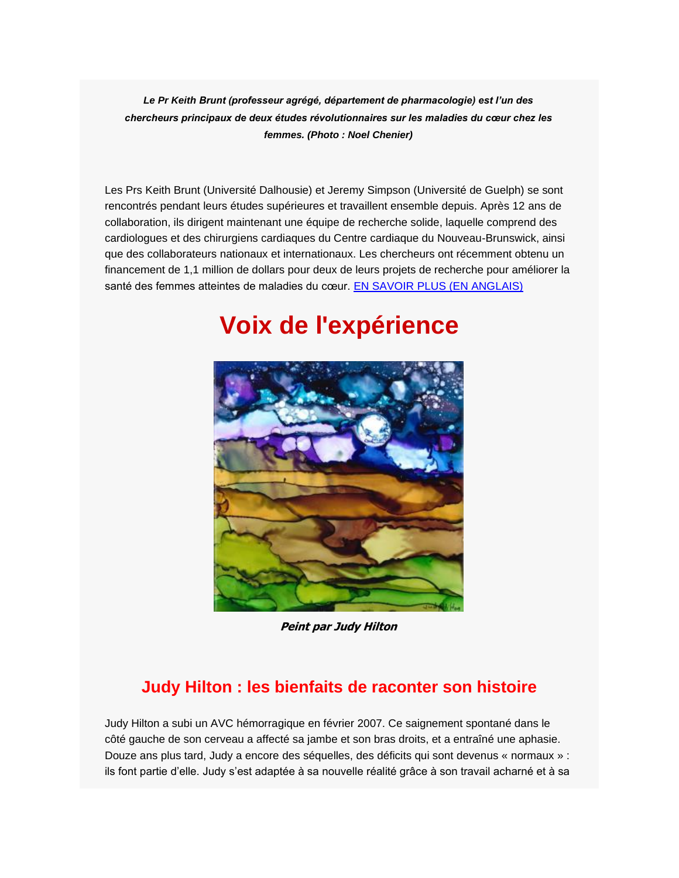*Le Pr Keith Brunt (professeur agrégé, département de pharmacologie) est l'un des chercheurs principaux de deux études révolutionnaires sur les maladies du cœur chez les femmes. (Photo : Noel Chenier)*

Les Prs Keith Brunt (Université Dalhousie) et Jeremy Simpson (Université de Guelph) se sont rencontrés pendant leurs études supérieures et travaillent ensemble depuis. Après 12 ans de collaboration, ils dirigent maintenant une équipe de recherche solide, laquelle comprend des cardiologues et des chirurgiens cardiaques du Centre cardiaque du Nouveau-Brunswick, ainsi que des collaborateurs nationaux et internationaux. Les chercheurs ont récemment obtenu un financement de 1,1 million de dollars pour deux de leurs projets de recherche pour améliorer la santé des femmes atteintes de maladies du cœur. [EN SAVOIR PLUS \(EN ANGLAIS\)](https://hsf.us18.list-manage.com/track/click?u=b3ce0e8fb303cb40c66dc1a29&id=d6b8dc4924&e=a106005906)

## **Voix de l'expérience**



**Peint par Judy Hilton**

## **Judy Hilton : les bienfaits de raconter son histoire**

Judy Hilton a subi un AVC hémorragique en février 2007. Ce saignement spontané dans le côté gauche de son cerveau a affecté sa jambe et son bras droits, et a entraîné une aphasie. Douze ans plus tard, Judy a encore des séquelles, des déficits qui sont devenus « normaux » : ils font partie d'elle. Judy s'est adaptée à sa nouvelle réalité grâce à son travail acharné et à sa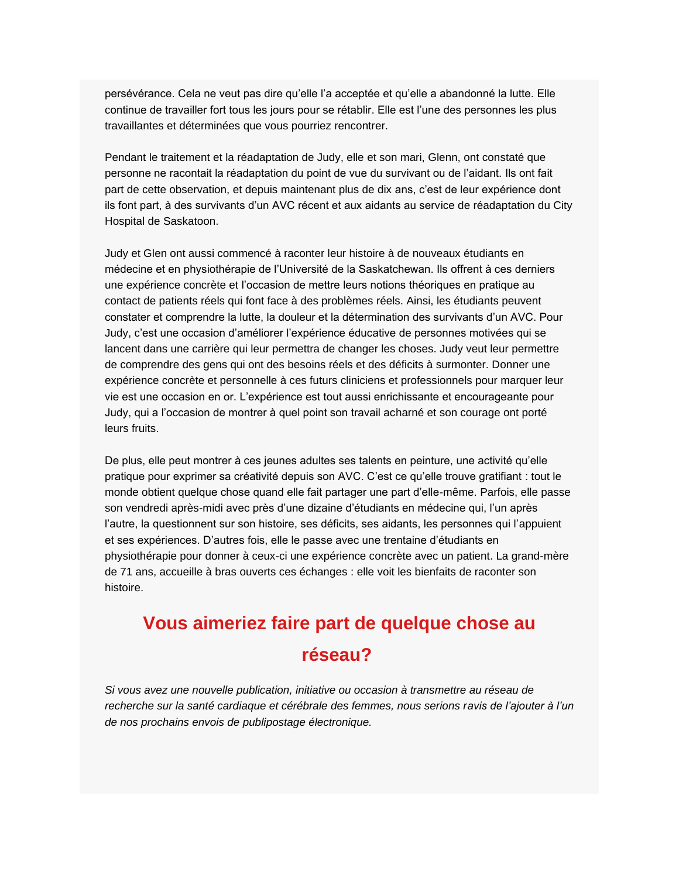persévérance. Cela ne veut pas dire qu'elle l'a acceptée et qu'elle a abandonné la lutte. Elle continue de travailler fort tous les jours pour se rétablir. Elle est l'une des personnes les plus travaillantes et déterminées que vous pourriez rencontrer.

Pendant le traitement et la réadaptation de Judy, elle et son mari, Glenn, ont constaté que personne ne racontait la réadaptation du point de vue du survivant ou de l'aidant. Ils ont fait part de cette observation, et depuis maintenant plus de dix ans, c'est de leur expérience dont ils font part, à des survivants d'un AVC récent et aux aidants au service de réadaptation du City Hospital de Saskatoon.

Judy et Glen ont aussi commencé à raconter leur histoire à de nouveaux étudiants en médecine et en physiothérapie de l'Université de la Saskatchewan. Ils offrent à ces derniers une expérience concrète et l'occasion de mettre leurs notions théoriques en pratique au contact de patients réels qui font face à des problèmes réels. Ainsi, les étudiants peuvent constater et comprendre la lutte, la douleur et la détermination des survivants d'un AVC. Pour Judy, c'est une occasion d'améliorer l'expérience éducative de personnes motivées qui se lancent dans une carrière qui leur permettra de changer les choses. Judy veut leur permettre de comprendre des gens qui ont des besoins réels et des déficits à surmonter. Donner une expérience concrète et personnelle à ces futurs cliniciens et professionnels pour marquer leur vie est une occasion en or. L'expérience est tout aussi enrichissante et encourageante pour Judy, qui a l'occasion de montrer à quel point son travail acharné et son courage ont porté leurs fruits.

De plus, elle peut montrer à ces jeunes adultes ses talents en peinture, une activité qu'elle pratique pour exprimer sa créativité depuis son AVC. C'est ce qu'elle trouve gratifiant : tout le monde obtient quelque chose quand elle fait partager une part d'elle-même. Parfois, elle passe son vendredi après-midi avec près d'une dizaine d'étudiants en médecine qui, l'un après l'autre, la questionnent sur son histoire, ses déficits, ses aidants, les personnes qui l'appuient et ses expériences. D'autres fois, elle le passe avec une trentaine d'étudiants en physiothérapie pour donner à ceux-ci une expérience concrète avec un patient. La grand-mère de 71 ans, accueille à bras ouverts ces échanges : elle voit les bienfaits de raconter son histoire.

## **Vous aimeriez faire part de quelque chose au réseau?**

*Si vous avez une nouvelle publication, initiative ou occasion à transmettre au réseau de recherche sur la santé cardiaque et cérébrale des femmes, nous serions ravis de l'ajouter à l'un de nos prochains envois de publipostage électronique.*